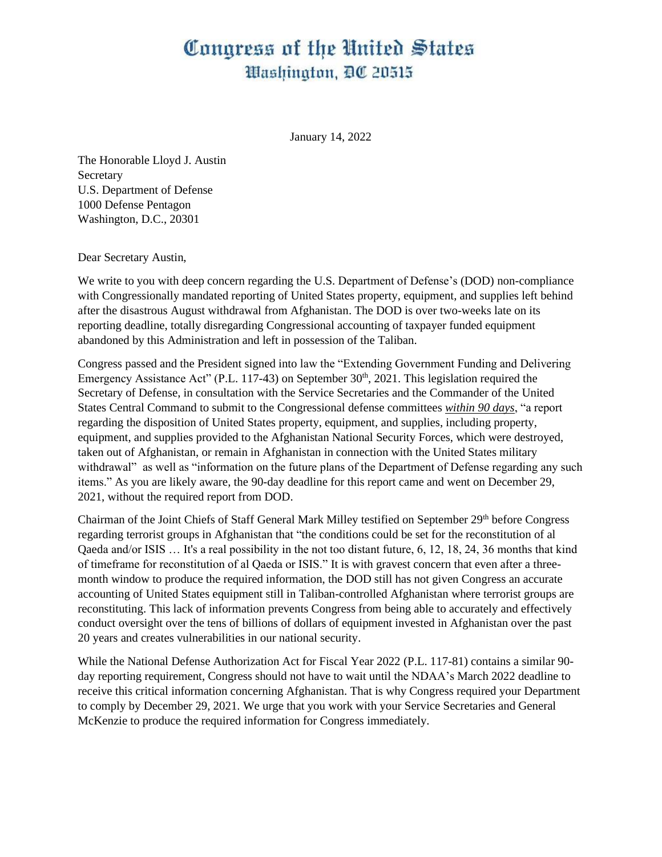## Congress of the United States Washington, DC 20515

January 14, 2022

The Honorable Lloyd J. Austin **Secretary** U.S. Department of Defense 1000 Defense Pentagon Washington, D.C., 20301

Dear Secretary Austin,

We write to you with deep concern regarding the U.S. Department of Defense's (DOD) non-compliance with Congressionally mandated reporting of United States property, equipment, and supplies left behind after the disastrous August withdrawal from Afghanistan. The DOD is over two-weeks late on its reporting deadline, totally disregarding Congressional accounting of taxpayer funded equipment abandoned by this Administration and left in possession of the Taliban.

Congress passed and the President signed into law the "Extending Government Funding and Delivering Emergency Assistance Act" (P.L. 117-43) on September 30<sup>th</sup>, 2021. This legislation required the Secretary of Defense, in consultation with the Service Secretaries and the Commander of the United States Central Command to submit to the Congressional defense committees *within 90 days*, "a report regarding the disposition of United States property, equipment, and supplies, including property, equipment, and supplies provided to the Afghanistan National Security Forces, which were destroyed, taken out of Afghanistan, or remain in Afghanistan in connection with the United States military withdrawal" as well as "information on the future plans of the Department of Defense regarding any such items." As you are likely aware, the 90-day deadline for this report came and went on December 29, 2021, without the required report from DOD.

Chairman of the Joint Chiefs of Staff General Mark Milley testified on September 29<sup>th</sup> before Congress regarding terrorist groups in Afghanistan that "the conditions could be set for the reconstitution of al Qaeda and/or ISIS … It's a real possibility in the not too distant future, 6, 12, 18, 24, 36 months that kind of timeframe for reconstitution of al Qaeda or ISIS." It is with gravest concern that even after a threemonth window to produce the required information, the DOD still has not given Congress an accurate accounting of United States equipment still in Taliban-controlled Afghanistan where terrorist groups are reconstituting. This lack of information prevents Congress from being able to accurately and effectively conduct oversight over the tens of billions of dollars of equipment invested in Afghanistan over the past 20 years and creates vulnerabilities in our national security.

While the National Defense Authorization Act for Fiscal Year 2022 (P.L. 117-81) contains a similar 90 day reporting requirement, Congress should not have to wait until the NDAA's March 2022 deadline to receive this critical information concerning Afghanistan. That is why Congress required your Department to comply by December 29, 2021. We urge that you work with your Service Secretaries and General McKenzie to produce the required information for Congress immediately.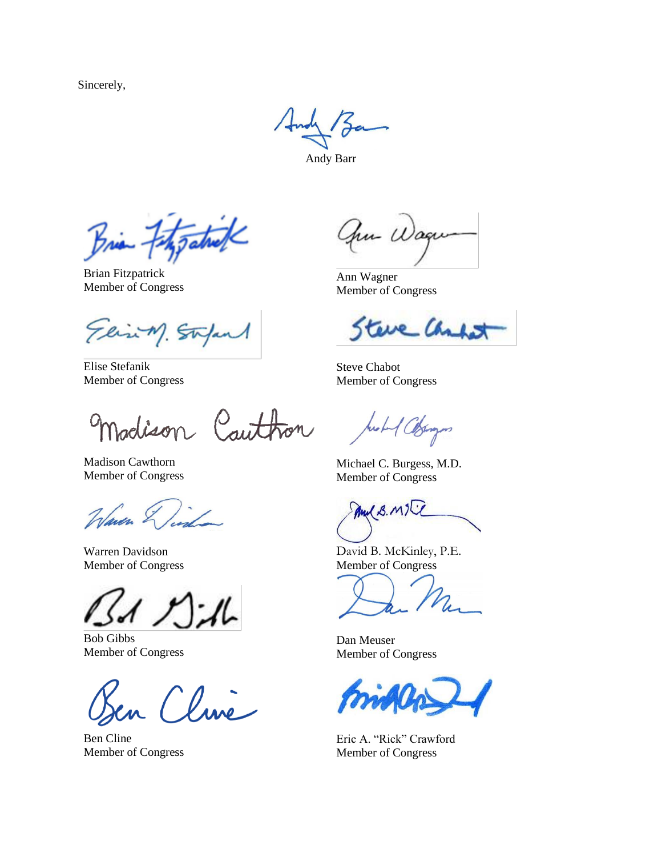Sincerely,

Andy Barr

Brian Fitzgatuck

Brian Fitzpatrick Member of Congress

Elin M. Stapes

Elise Stefanik Member of Congress

naclison Cauthon

Madison Cawthorn Member of Congress

Waven &

Warren Davidson Member of Congress

Bob Gibbs Member of Congress

Ben Cline Member of Congress

au U

Ann Wagner Member of Congress

re Cha ÖΜ

Steve Chabot Member of Congress

Arobert Colonges

Michael C. Burgess, M.D. Member of Congress

Mul B. MIT

David B. McKinley, P.E. Member of Congress

Dan Meuser Member of Congress

Eric A. "Rick" Crawford Member of Congress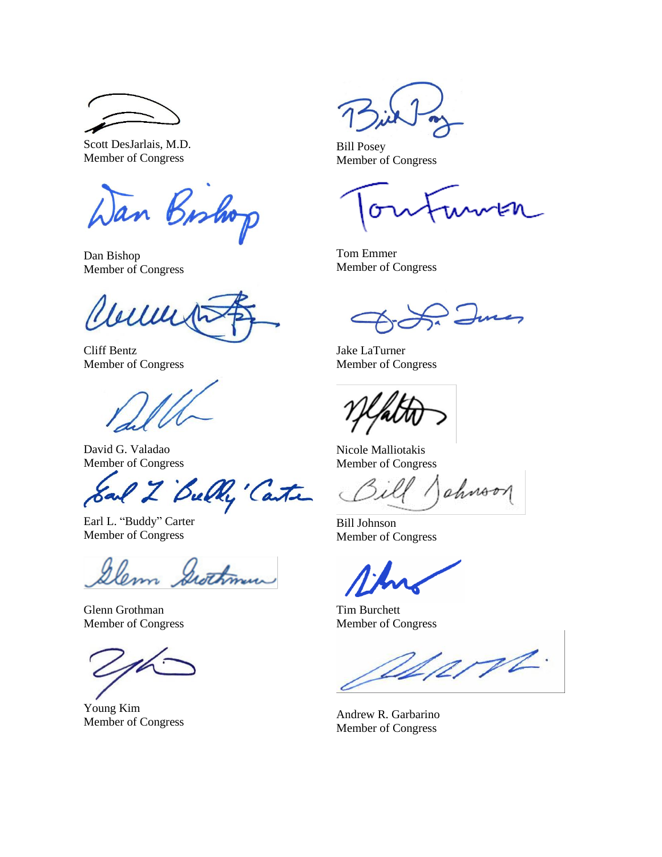Scott DesJarlais, M.D. Member of Congress

Wan Bishop

Dan Bishop Member of Congress

Will

Cliff Bentz Member of Congress

David G. Valadao Member of Congress

Earl Z Belly Canter

Earl L. "Buddy" Carter Member of Congress

Elem Swithman

Glenn Grothman Member of Congress

Young Kim

Bill Posey Member of Congress

Tom Emmer Member of Congress

Jake LaTurner Member of Congress

Nicole Malliotakis Member of Congress

ahnoon

Bill Johnson Member of Congress

Tim Burchett Member of Congress

Varnt.

Foung Kin<br>Member of Congress Andrew R. Garbarino Member of Congress